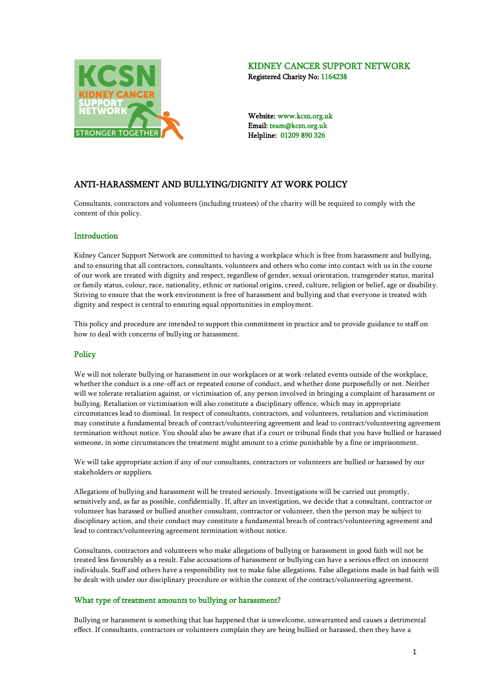

# KIDNEY CANCER SUPPORT NETWORK

Registered Charity No: 1164238

Website: www.kcsn.org.uk Email: team@kcsn.org.uk Helpline: 01209 890 326

# ANTI-HARASSMENT AND BULLYING/DIGNITY AT WORK POLICY

Consultants, contractors and volunteers (including trustees) of the charity will be required to comply with the content of this policy.

#### Introduction

Kidney Cancer Support Network are committed to having a workplace which is free from harassment and bullying, and to ensuring that all contractors, consultants, volunteers and others who come into contact with us in the course of our work are treated with dignity and respect, regardless of gender, sexual orientation, transgender status, marital or family status, colour, race, nationality, ethnic or national origins, creed, culture, religion or belief, age or disability. Striving to ensure that the work environment is free of harassment and bullying and that everyone is treated with dignity and respect is central to ensuring equal opportunities in employment.

This policy and procedure are intended to support this commitment in practice and to provide guidance to staff on how to deal with concerns of bullying or harassment.

## **Policy**

We will not tolerate bullying or harassment in our workplaces or at work-related events outside of the workplace, whether the conduct is a one-off act or repeated course of conduct, and whether done purposefully or not. Neither will we tolerate retaliation against, or victimisation of, any person involved in bringing a complaint of harassment or bullying. Retaliation or victimisation will also constitute a disciplinary offence, which may in appropriate circumstances lead to dismissal. In respect of consultants, contractors, and volunteers, retaliation and victimisation may constitute a fundamental breach of contract/volunteering agreement and lead to contract/volunteering agreement termination without notice. You should also be aware that if a court or tribunal finds that you have bullied or harassed someone, in some circumstances the treatment might amount to a crime punishable by a fine or imprisonment.

We will take appropriate action if any of our consultants, contractors or volunteers are bullied or harassed by our stakeholders or suppliers.

Allegations of bullying and harassment will be treated seriously. Investigations will be carried out promptly, sensitively and, as far as possible, confidentially. If, after an investigation, we decide that a consultant, contractor or volunteer has harassed or bullied another consultant, contractor or volunteer, then the person may be subject to disciplinary action, and their conduct may constitute a fundamental breach of contract/volunteering agreement and lead to contract/volunteering agreement termination without notice.

Consultants, contractors and volunteers who make allegations of bullying or harassment in good faith will not be treated less favourably as a result. False accusations of harassment or bullying can have a serious effect on innocent individuals. Staff and others have a responsibility not to make false allegations. False allegations made in bad faith will be dealt with under our disciplinary procedure or within the context of the contract/volunteering agreement.

## What type of treatment amounts to bullying or harassment?

Bullying or harassment is something that has happened that is unwelcome, unwarranted and causes a detrimental effect. If consultants, contractors or volunteers complain they are being bullied or harassed, then they have a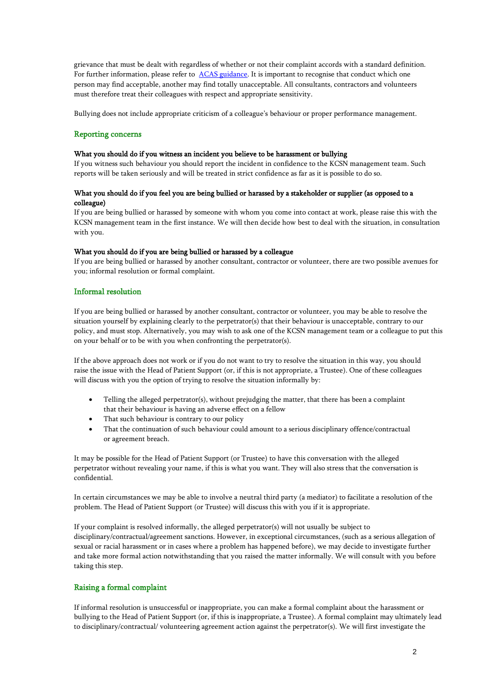grievance that must be dealt with regardless of whether or not their complaint accords with a standard definition. For further information, please refer t[o ACAS guidance.](http://www.acas.org.uk/index.aspx?articleid=794) It is important to recognise that conduct which one person may find acceptable, another may find totally unacceptable. All consultants, contractors and volunteers must therefore treat their colleagues with respect and appropriate sensitivity.

Bullying does not include appropriate criticism of a colleague's behaviour or proper performance management.

#### Reporting concerns

#### What you should do if you witness an incident you believe to be harassment or bullying

If you witness such behaviour you should report the incident in confidence to the KCSN management team. Such reports will be taken seriously and will be treated in strict confidence as far as it is possible to do so.

#### What you should do if you feel you are being bullied or harassed by a stakeholder or supplier (as opposed to a colleague)

If you are being bullied or harassed by someone with whom you come into contact at work, please raise this with the KCSN management team in the first instance. We will then decide how best to deal with the situation, in consultation with you.

#### What you should do if you are being bullied or harassed by a colleague

If you are being bullied or harassed by another consultant, contractor or volunteer, there are two possible avenues for you; informal resolution or formal complaint.

#### Informal resolution

If you are being bullied or harassed by another consultant, contractor or volunteer, you may be able to resolve the situation yourself by explaining clearly to the perpetrator(s) that their behaviour is unacceptable, contrary to our policy, and must stop. Alternatively, you may wish to ask one of the KCSN management team or a colleague to put this on your behalf or to be with you when confronting the perpetrator(s).

If the above approach does not work or if you do not want to try to resolve the situation in this way, you should raise the issue with the Head of Patient Support (or, if this is not appropriate, a Trustee). One of these colleagues will discuss with you the option of trying to resolve the situation informally by:

- Telling the alleged perpetrator(s), without prejudging the matter, that there has been a complaint that their behaviour is having an adverse effect on a fellow
- That such behaviour is contrary to our policy
- That the continuation of such behaviour could amount to a serious disciplinary offence/contractual or agreement breach.

It may be possible for the Head of Patient Support (or Trustee) to have this conversation with the alleged perpetrator without revealing your name, if this is what you want. They will also stress that the conversation is confidential.

In certain circumstances we may be able to involve a neutral third party (a mediator) to facilitate a resolution of the problem. The Head of Patient Support (or Trustee) will discuss this with you if it is appropriate.

If your complaint is resolved informally, the alleged perpetrator(s) will not usually be subject to disciplinary/contractual/agreement sanctions. However, in exceptional circumstances, (such as a serious allegation of sexual or racial harassment or in cases where a problem has happened before), we may decide to investigate further and take more formal action notwithstanding that you raised the matter informally. We will consult with you before taking this step.

#### Raising a formal complaint

If informal resolution is unsuccessful or inappropriate, you can make a formal complaint about the harassment or bullying to the Head of Patient Support (or, if this is inappropriate, a Trustee). A formal complaint may ultimately lead to disciplinary/contractual/ volunteering agreement action against the perpetrator(s). We will first investigate the